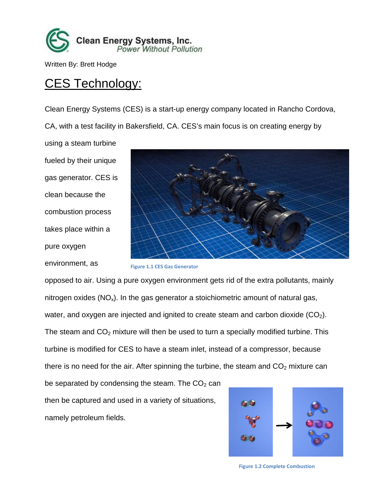

Written By: Brett Hodge

# CES Technology:

Clean Energy Systems (CES) is a start-up energy company located in Rancho Cordova, CA, with a test facility in Bakersfield, CA. CES's main focus is on creating energy by

using a steam turbine fueled by their unique gas generator. CES is clean because the combustion process takes place within a pure oxygen environment, as



```
Figure 1.1 CES Gas Generator
```
opposed to air. Using a pure oxygen environment gets rid of the extra pollutants, mainly nitrogen oxides  $(NO_x)$ . In the gas generator a stoichiometric amount of natural gas, water, and oxygen are injected and ignited to create steam and carbon dioxide  $(CO<sub>2</sub>)$ . The steam and  $CO<sub>2</sub>$  mixture will then be used to turn a specially modified turbine. This turbine is modified for CES to have a steam inlet, instead of a compressor, because there is no need for the air. After spinning the turbine, the steam and  $CO<sub>2</sub>$  mixture can be separated by condensing the steam. The  $CO<sub>2</sub>$  can

then be captured and used in a variety of situations, namely petroleum fields.



**Figure 1.2 Complete Combustion**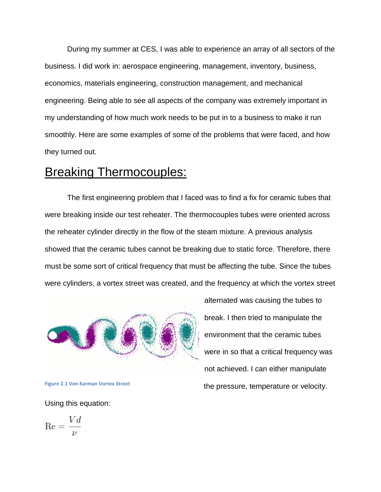During my summer at CES, I was able to experience an array of all sectors of the business. I did work in: aerospace engineering, management, inventory, business, economics, materials engineering, construction management, and mechanical engineering. Being able to see all aspects of the company was extremely important in my understanding of how much work needs to be put in to a business to make it run smoothly. Here are some examples of some of the problems that were faced, and how they turned out.

## **Breaking Thermocouples:**

The first engineering problem that I faced was to find a fix for ceramic tubes that were breaking inside our test reheater. The thermocouples tubes were oriented across the reheater cylinder directly in the flow of the steam mixture. A previous analysis showed that the ceramic tubes cannot be breaking due to static force. Therefore, there must be some sort of critical frequency that must be affecting the tube. Since the tubes were cylinders, a vortex street was created, and the frequency at which the vortex street



**Figure 2.1 Von Karman Vortex Street**

Using this equation:

$$
\text{Re} = \frac{Vd}{\nu}
$$

alternated was causing the tubes to break. I then tried to manipulate the environment that the ceramic tubes were in so that a critical frequency was not achieved. I can either manipulate the pressure, temperature or velocity.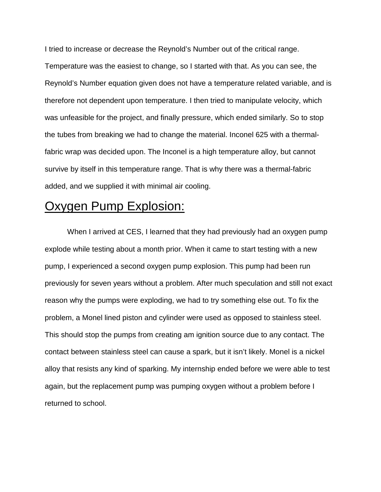I tried to increase or decrease the Reynold's Number out of the critical range.

Temperature was the easiest to change, so I started with that. As you can see, the Reynold's Number equation given does not have a temperature related variable, and is therefore not dependent upon temperature. I then tried to manipulate velocity, which was unfeasible for the project, and finally pressure, which ended similarly. So to stop the tubes from breaking we had to change the material. Inconel 625 with a thermalfabric wrap was decided upon. The Inconel is a high temperature alloy, but cannot survive by itself in this temperature range. That is why there was a thermal-fabric added, and we supplied it with minimal air cooling.

## Oxygen Pump Explosion:

When I arrived at CES, I learned that they had previously had an oxygen pump explode while testing about a month prior. When it came to start testing with a new pump, I experienced a second oxygen pump explosion. This pump had been run previously for seven years without a problem. After much speculation and still not exact reason why the pumps were exploding, we had to try something else out. To fix the problem, a Monel lined piston and cylinder were used as opposed to stainless steel. This should stop the pumps from creating am ignition source due to any contact. The contact between stainless steel can cause a spark, but it isn't likely. Monel is a nickel alloy that resists any kind of sparking. My internship ended before we were able to test again, but the replacement pump was pumping oxygen without a problem before I returned to school.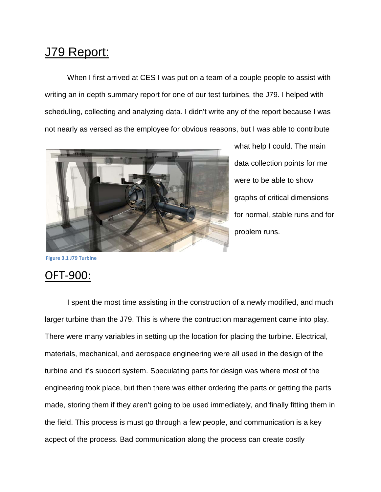# J79 Report:

When I first arrived at CES I was put on a team of a couple people to assist with writing an in depth summary report for one of our test turbines, the J79. I helped with scheduling, collecting and analyzing data. I didn't write any of the report because I was not nearly as versed as the employee for obvious reasons, but I was able to contribute



what help I could. The main data collection points for me were to be able to show graphs of critical dimensions for normal, stable runs and for problem runs.

**Figure 3.1 J79 Turbine**

#### OFT-900:

I spent the most time assisting in the construction of a newly modified, and much larger turbine than the J79. This is where the contruction management came into play. There were many variables in setting up the location for placing the turbine. Electrical, materials, mechanical, and aerospace engineering were all used in the design of the turbine and it's suooort system. Speculating parts for design was where most of the engineering took place, but then there was either ordering the parts or getting the parts made, storing them if they aren't going to be used immediately, and finally fitting them in the field. This process is must go through a few people, and communication is a key acpect of the process. Bad communication along the process can create costly